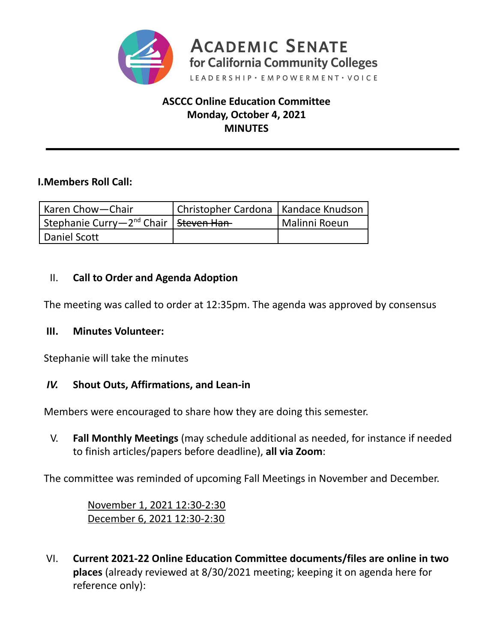

## **ASCCC Online Education Committee Monday, October 4, 2021 MINUTES**

### **I.Members Roll Call:**

| l Karen Chow—Chair                                              | Christopher Cardona   Kandace Knudson |               |
|-----------------------------------------------------------------|---------------------------------------|---------------|
| Stephanie Curry—2 <sup>nd</sup> Chair   <del>Steven Han</del> - |                                       | Malinni Roeun |
| Daniel Scott                                                    |                                       |               |

## II. **Call to Order and Agenda Adoption**

The meeting was called to order at 12:35pm. The agenda was approved by consensus

### **III. Minutes Volunteer:**

Stephanie will take the minutes

### *IV.* **Shout Outs, Affirmations, and Lean-in**

Members were encouraged to share how they are doing this semester.

V. **Fall Monthly Meetings** (may schedule additional as needed, for instance if needed to finish articles/papers before deadline), **all via Zoom**:

The committee was reminded of upcoming Fall Meetings in November and December.

November 1, 2021 12:30-2:30 December 6, 2021 12:30-2:30

VI. **Current 2021-22 Online Education Committee documents/files are online in two places** (already reviewed at 8/30/2021 meeting; keeping it on agenda here for reference only):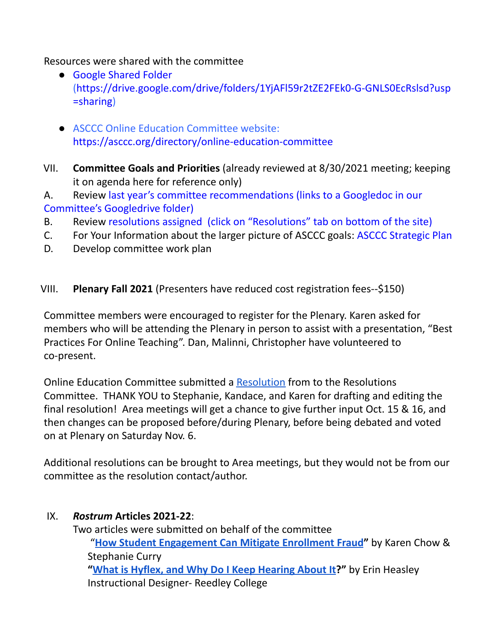Resources were shared with the committee

- Google Shared Folder [\(https://drive.google.com/drive/folders/1YjAFl59r2tZE2FEk0-G-GNLS0EcRslsd?usp](https://drive.google.com/drive/folders/1YjAFl59r2tZE2FEk0-G-GNLS0EcRslsd?usp=sharing) [=sharing\)](https://drive.google.com/drive/folders/1YjAFl59r2tZE2FEk0-G-GNLS0EcRslsd?usp=sharing)
- **ASCCC Online Education Committee website:** <https://asccc.org/directory/online-education-committee>
- VII. **Committee Goals and Priorities** (already reviewed at 8/30/2021 meeting; keeping it on agenda here for reference only)
- A. Review last year's committee [recommendations](https://docs.google.com/document/d/1zWBONpIZhpUIUUFPVs6mY02qI4aKL3VFQ1UIp_Et1k4/edit?usp=sharing) (links to a Googledoc in our Committee's Googledrive folder)
- B. Review [resolutions](https://asccc.org/directory/online-education-committee) assigned (click on "Resolutions" tab on bottom of the site)
- C. For Your Information about the larger picture of ASCCC goals: ASCCC [Strategic](https://asccc.org/sites/default/files/ASCCC_Strategic_Plan_2018-2023_final.pdf) Plan
- D. Develop committee work plan

# VIII. **Plenary Fall 2021** (Presenters have reduced cost registration fees--\$150)

Committee members were encouraged to register for the Plenary. Karen asked for members who will be attending the Plenary in person to assist with a presentation, "Best Practices For Online Teaching". Dan, Malinni, Christopher have volunteered to co-present.

Online Education Committee submitted a [Resolution](https://docs.google.com/document/d/1H6hEY0hce98bGM_-_x6lPe2i9sDyX-26zO7I6B5HxNQ/edit?usp=sharing) from to the Resolutions Committee. THANK YOU to Stephanie, Kandace, and Karen for drafting and editing the final resolution! Area meetings will get a chance to give further input Oct. 15 & 16, and then changes can be proposed before/during Plenary, before being debated and voted on at Plenary on Saturday Nov. 6.

Additional resolutions can be brought to Area meetings, but they would not be from our committee as the resolution contact/author.

## IX. *Rostrum* **Articles 2021-22**:

Two articles were submitted on behalf of the committee "**How Student [Engagement](https://docs.google.com/document/d/1F_WVRdScjReUA3IskWdlf5QAl96Q-4qA/edit?usp=sharing&ouid=101271244775087330443&rtpof=true&sd=true) Can Mitigate Enrollment Fraud"** by Karen Chow & Stephanie Curry **"What is Hyflex, and Why Do I Keep [Hearing](https://docs.google.com/document/d/1Z_4QqCVstc7A4i5_kkTyPAQ7So69j-R4/edit?usp=sharing&ouid=101271244775087330443&rtpof=true&sd=true) About It?"** by Erin Heasley Instructional Designer- Reedley College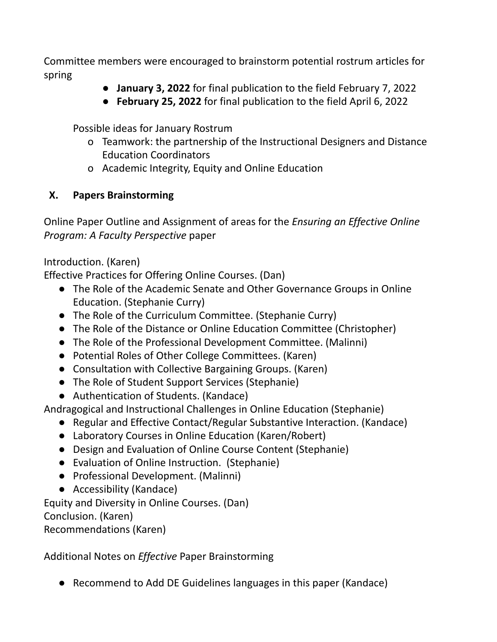Committee members were encouraged to brainstorm potential rostrum articles for spring

- **January 3, 2022** for final publication to the field February 7, 2022
- **February 25, 2022** for final publication to the field April 6, 2022

Possible ideas for January Rostrum

- o Teamwork: the partnership of the Instructional Designers and Distance Education Coordinators
- o Academic Integrity, Equity and Online Education

# **X. Papers Brainstorming**

Online Paper Outline and Assignment of areas for the *Ensuring an Effective Online Program: A Faculty Perspective* paper

Introduction. (Karen)

Effective Practices for Offering Online Courses. (Dan)

- The Role of the Academic Senate and Other Governance Groups in Online Education. (Stephanie Curry)
- The Role of the Curriculum Committee. (Stephanie Curry)
- The Role of the Distance or Online Education Committee (Christopher)
- The Role of the Professional Development Committee. (Malinni)
- Potential Roles of Other College Committees. (Karen)
- Consultation with Collective Bargaining Groups. (Karen)
- The Role of Student Support Services (Stephanie)
- Authentication of Students. (Kandace)

Andragogical and Instructional Challenges in Online Education (Stephanie)

- Regular and Effective Contact/Regular Substantive Interaction. (Kandace)
- Laboratory Courses in Online Education (Karen/Robert)
- Design and Evaluation of Online Course Content (Stephanie)
- Evaluation of Online Instruction. (Stephanie)
- Professional Development. (Malinni)
- Accessibility (Kandace)

Equity and Diversity in Online Courses. (Dan) Conclusion. (Karen)

Recommendations (Karen)

Additional Notes on *Effective* Paper Brainstorming

● Recommend to Add DE Guidelines languages in this paper (Kandace)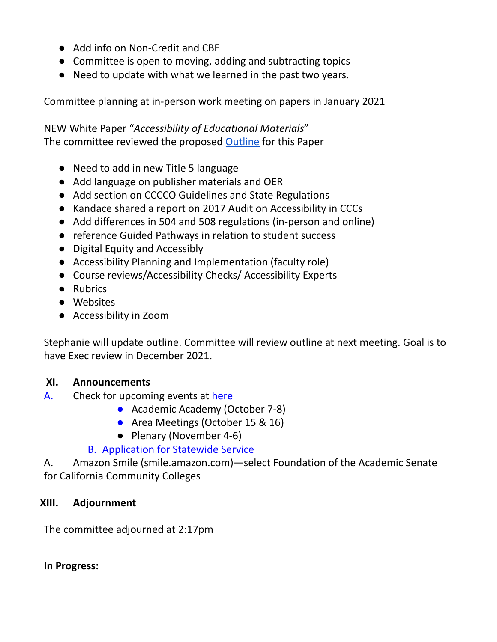- Add info on Non-Credit and CBE
- Committee is open to moving, adding and subtracting topics
- Need to update with what we learned in the past two years.

Committee planning at in-person work meeting on papers in January 2021

NEW White Paper "*Accessibility of Educational Materials*" The committee reviewed the proposed [Outline](https://docs.google.com/document/d/11J8sN91KfzLjornBXx2ZlTj6_j-27Zc4/edit?usp=sharing&ouid=101271244775087330443&rtpof=true&sd=true) for this Paper

- Need to add in new Title 5 language
- Add language on publisher materials and OER
- Add section on CCCCO Guidelines and State Regulations
- Kandace shared a report on 2017 Audit on Accessibility in CCCs
- Add differences in 504 and 508 regulations (in-person and online)
- reference Guided Pathways in relation to student success
- Digital Equity and Accessibly
- Accessibility Planning and Implementation (faculty role)
- Course reviews/Accessibility Checks/ Accessibility Experts
- Rubrics
- Websites
- Accessibility in Zoom

Stephanie will update outline. Committee will review outline at next meeting. Goal is to have Exec review in December 2021.

### **XI. Announcements**

- A. Check for upcoming events at [here](https://asccc.org/calendar/list/events)
	- Academic Academy (October 7-8)
	- Area Meetings (October 15 & 16)
	- Plenary (November 4-6)

### B. [Application](http://asccc.org/content/application-statewide-service) for Statewide Service

A. Amazon Smile (smile.amazon.com)—select Foundation of the Academic Senate for California Community Colleges

### **XIII. Adjournment**

The committee adjourned at 2:17pm

### **In Progress:**